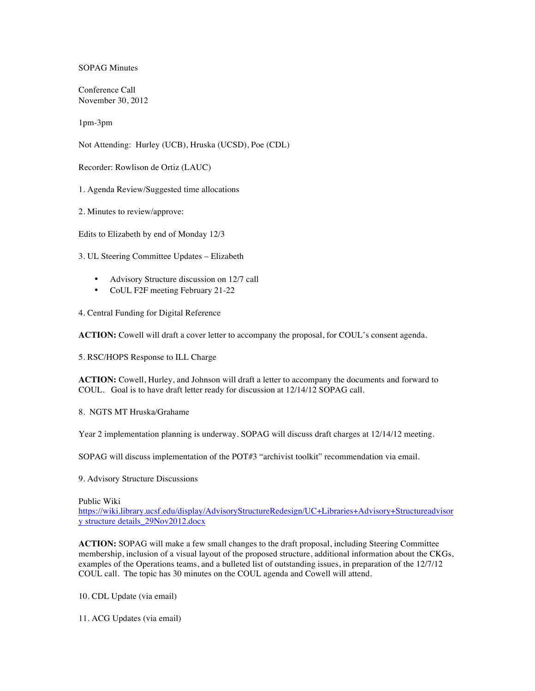## SOPAG Minutes

Conference Call November 30, 2012

1pm-3pm

Not Attending: Hurley (UCB), Hruska (UCSD), Poe (CDL)

Recorder: Rowlison de Ortiz (LAUC)

1. Agenda Review/Suggested time allocations

2. Minutes to review/approve:

Edits to Elizabeth by end of Monday 12/3

3. UL Steering Committee Updates – Elizabeth

- Advisory Structure discussion on 12/7 call
- CoUL F2F meeting February 21-22

4. Central Funding for Digital Reference

**ACTION:** Cowell will draft a cover letter to accompany the proposal, for COUL's consent agenda.

5. RSC/HOPS Response to ILL Charge

**ACTION:** Cowell, Hurley, and Johnson will draft a letter to accompany the documents and forward to COUL. Goal is to have draft letter ready for discussion at 12/14/12 SOPAG call.

## 8. NGTS MT Hruska/Grahame

Year 2 implementation planning is underway. SOPAG will discuss draft charges at 12/14/12 meeting.

SOPAG will discuss implementation of the POT#3 "archivist toolkit" recommendation via email.

9. Advisory Structure Discussions

Public Wiki

https://wiki.library.ucsf.edu/display/AdvisoryStructureRedesign/UC+Libraries+Advisory+Structureadvisor y structure details\_29Nov2012.docx

**ACTION:** SOPAG will make a few small changes to the draft proposal, including Steering Committee membership, inclusion of a visual layout of the proposed structure, additional information about the CKGs, examples of the Operations teams, and a bulleted list of outstanding issues, in preparation of the 12/7/12 COUL call. The topic has 30 minutes on the COUL agenda and Cowell will attend.

10. CDL Update (via email)

11. ACG Updates (via email)